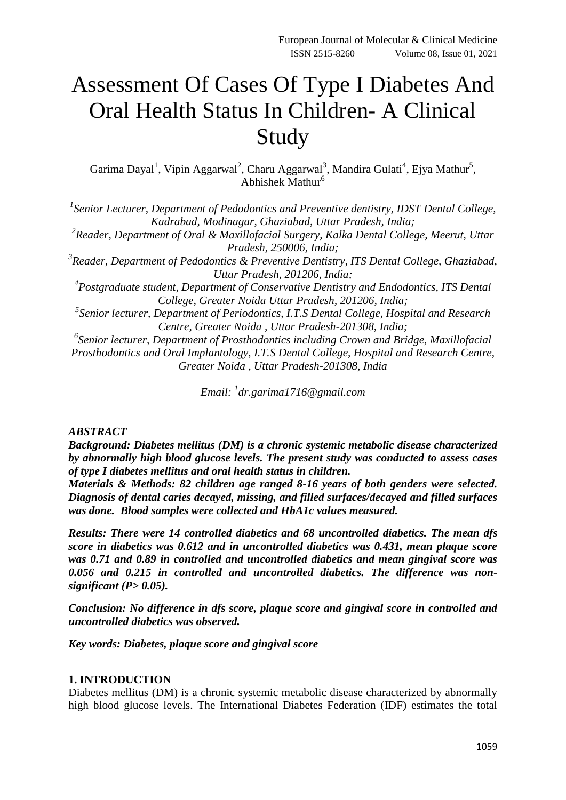# Assessment Of Cases Of Type I Diabetes And Oral Health Status In Children- A Clinical Study

Garima Dayal<sup>1</sup>, Vipin Aggarwal<sup>2</sup>, Charu Aggarwal<sup>3</sup>, Mandira Gulati<sup>4</sup>, Ejya Mathur<sup>5</sup>, Abhishek Mathur<sup>6</sup>

*1 Senior Lecturer, Department of Pedodontics and Preventive dentistry, IDST Dental College, Kadrabad, Modinagar, Ghaziabad, Uttar Pradesh, India;*

<sup>2</sup> Reader, Department of Oral & Maxillofacial Surgery, Kalka Dental College, Meerut, Uttar *Pradesh, 250006, India;*

*3 Reader, Department of Pedodontics & Preventive Dentistry, ITS Dental College, Ghaziabad, Uttar Pradesh, 201206, India;*

<sup>4</sup> Postgraduate student, Department of Conservative Dentistry and Endodontics, ITS Dental *College, Greater Noida Uttar Pradesh, 201206, India;*

*5 Senior lecturer, Department of Periodontics, I.T.S Dental College, Hospital and Research Centre, Greater Noida , Uttar Pradesh-201308, India;*

*6 Senior lecturer, Department of Prosthodontics including Crown and Bridge, Maxillofacial Prosthodontics and Oral Implantology, I.T.S Dental College, Hospital and Research Centre, Greater Noida , Uttar Pradesh-201308, India*

*Email: <sup>1</sup> [dr.garima1716@gmail.com](mailto:dr.garima1716@gmail.com)*

### *ABSTRACT*

*Background: Diabetes mellitus (DM) is a chronic systemic metabolic disease characterized by abnormally high blood glucose levels. The present study was conducted to assess cases of type I diabetes mellitus and oral health status in children.*

*Materials & Methods: 82 children age ranged 8-16 years of both genders were selected. Diagnosis of dental caries decayed, missing, and filled surfaces/decayed and filled surfaces was done. Blood samples were collected and HbA1c values measured.* 

*Results: There were 14 controlled diabetics and 68 uncontrolled diabetics. The mean dfs score in diabetics was 0.612 and in uncontrolled diabetics was 0.431, mean plaque score was 0.71 and 0.89 in controlled and uncontrolled diabetics and mean gingival score was 0.056 and 0.215 in controlled and uncontrolled diabetics. The difference was nonsignificant (P> 0.05).*

*Conclusion: No difference in dfs score, plaque score and gingival score in controlled and uncontrolled diabetics was observed.* 

*Key words: Diabetes, plaque score and gingival score*

### **1. INTRODUCTION**

Diabetes mellitus (DM) is a chronic systemic metabolic disease characterized by abnormally high blood glucose levels. The International Diabetes Federation (IDF) estimates the total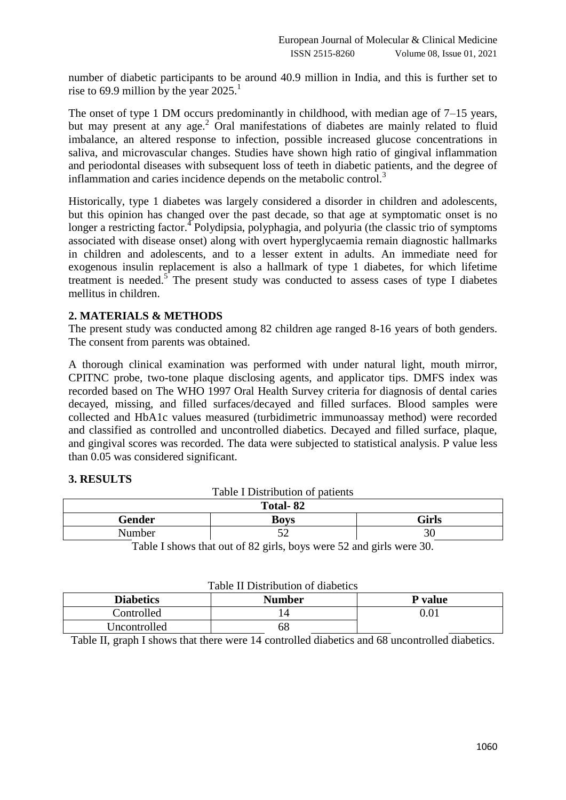number of diabetic participants to be around 40.9 million in India, and this is further set to rise to 69.9 million by the year  $2025$ .<sup>1</sup>

The onset of type 1 DM occurs predominantly in childhood, with median age of 7–15 years, but may present at any age.<sup>2</sup> Oral manifestations of diabetes are mainly related to fluid imbalance, an altered response to infection, possible increased glucose concentrations in saliva, and microvascular changes. Studies have shown high ratio of gingival inflammation and periodontal diseases with subsequent loss of teeth in diabetic patients, and the degree of inflammation and caries incidence depends on the metabolic control. $3<sup>3</sup>$ 

Historically, type 1 diabetes was largely considered a disorder in children and adolescents, but this opinion has changed over the past decade, so that age at symptomatic onset is no longer a restricting factor.<sup>4</sup> Polydipsia, polyphagia, and polyuria (the classic trio of symptoms associated with disease onset) along with overt hyperglycaemia remain diagnostic hallmarks in children and adolescents, and to a lesser extent in adults. An immediate need for exogenous insulin replacement is also a hallmark of type 1 diabetes, for which lifetime treatment is needed.<sup>5</sup> The present study was conducted to assess cases of type I diabetes mellitus in children.

# **2. MATERIALS & METHODS**

The present study was conducted among 82 children age ranged 8-16 years of both genders. The consent from parents was obtained.

A thorough clinical examination was performed with under natural light, mouth mirror, CPITNC probe, two-tone plaque disclosing agents, and applicator tips. DMFS index was recorded based on The WHO 1997 Oral Health Survey criteria for diagnosis of dental caries decayed, missing, and filled surfaces/decayed and filled surfaces. Blood samples were collected and HbA1c values measured (turbidimetric immunoassay method) were recorded and classified as controlled and uncontrolled diabetics. Decayed and filled surface, plaque, and gingival scores was recorded. The data were subjected to statistical analysis. P value less than 0.05 was considered significant.

## **3. RESULTS**

| Table I Distribution of patients                                                         |             |       |  |  |
|------------------------------------------------------------------------------------------|-------------|-------|--|--|
| Total-82                                                                                 |             |       |  |  |
| Gender                                                                                   | <b>Boys</b> | Girls |  |  |
| Number                                                                                   |             | 30    |  |  |
| ------<br>$\sim$ $\sim$ $\sim$ $\sim$ $\sim$ $\sim$ $\sim$<br>$\sim$ $\sim$<br>$-1$<br>. |             |       |  |  |

 $T$  Table I distribution of patients of patients of patients of patients of patients of patients of patients of patients of patients of patients of patients of patients of patients of patients of patients of patients of p

Table I shows that out of 82 girls, boys were 52 and girls were 30.

| Table II Distribution of diabetics |               |                |  |  |
|------------------------------------|---------------|----------------|--|--|
| <b>Diabetics</b>                   | <b>Number</b> | <b>P</b> value |  |  |
| Controlled                         |               | $0.01\,$       |  |  |
| Uncontrolled                       | 58.           |                |  |  |

Table II, graph I shows that there were 14 controlled diabetics and 68 uncontrolled diabetics.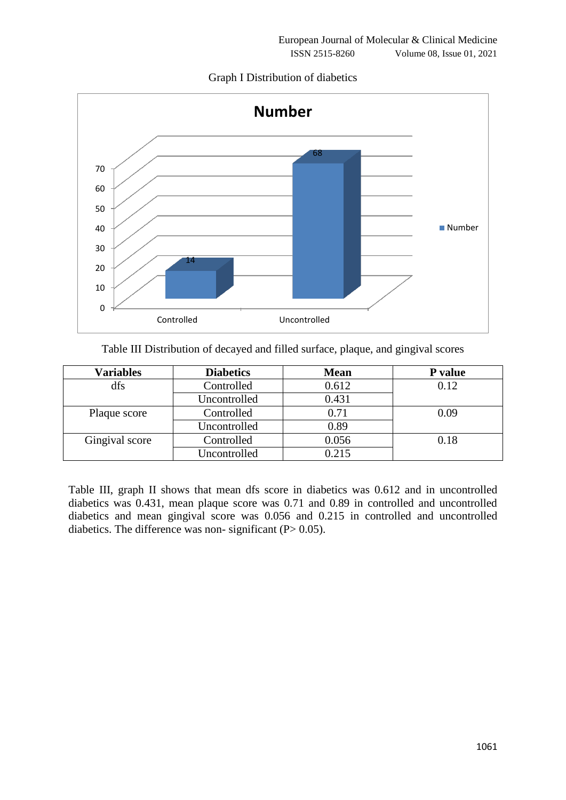Graph I Distribution of diabetics



Table III Distribution of decayed and filled surface, plaque, and gingival scores

| <b>Variables</b> | <b>Diabetics</b> | <b>Mean</b> | P value |
|------------------|------------------|-------------|---------|
| dfs              | Controlled       | 0.612       | 0.12    |
|                  | Uncontrolled     | 0.431       |         |
| Plaque score     | Controlled       | 0.71        | 0.09    |
|                  | Uncontrolled     | 0.89        |         |
| Gingival score   | Controlled       | 0.056       | 0.18    |
|                  | Uncontrolled     | 0.215       |         |

Table III, graph II shows that mean dfs score in diabetics was 0.612 and in uncontrolled diabetics was 0.431, mean plaque score was 0.71 and 0.89 in controlled and uncontrolled diabetics and mean gingival score was 0.056 and 0.215 in controlled and uncontrolled diabetics. The difference was non-significant  $(P> 0.05)$ .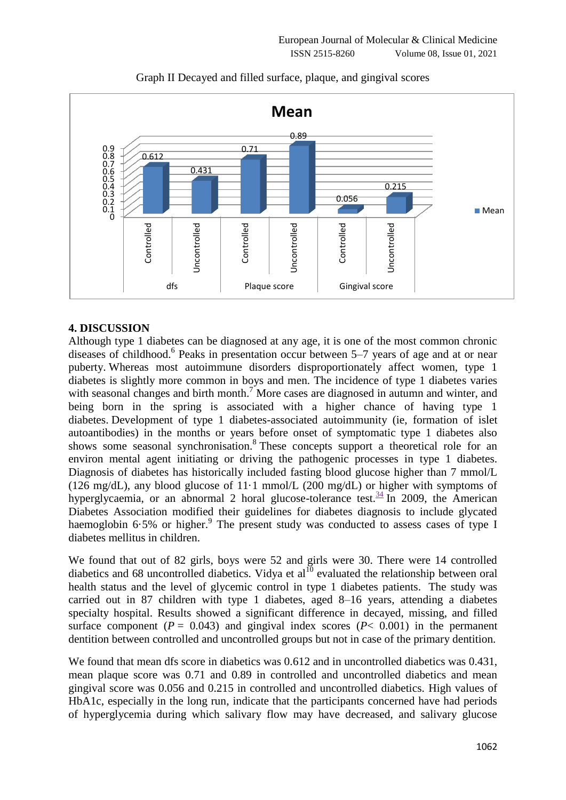

# Graph II Decayed and filled surface, plaque, and gingival scores

# **4. DISCUSSION**

Although type 1 diabetes can be diagnosed at any age, it is one of the most common chronic diseases of childhood.<sup>6</sup> Peaks in presentation occur between 5–7 years of age and at or near puberty. Whereas most autoimmune disorders disproportionately affect women, type 1 diabetes is slightly more common in boys and men. The incidence of type 1 diabetes varies with seasonal changes and birth month.<sup>7</sup> More cases are diagnosed in autumn and winter, and being born in the spring is associated with a higher chance of having type 1 diabetes. Development of type 1 diabetes-associated autoimmunity (ie, formation of islet autoantibodies) in the months or years before onset of symptomatic type 1 diabetes also shows some seasonal synchronisation.<sup>8</sup> These concepts support a theoretical role for an environ mental agent initiating or driving the pathogenic processes in type 1 diabetes. Diagnosis of diabetes has historically included fasting blood glucose higher than 7 mmol/L (126 mg/dL), any blood glucose of 11.1 mmol/L (200 mg/dL) or higher with symptoms of hyperglycaemia, or an abnormal 2 horal glucose-tolerance test.  $34 \text{ In } 2009$  $34 \text{ In } 2009$ , the American Diabetes Association modified their guidelines for diabetes diagnosis to include glycated haemoglobin  $6.5\%$  or higher.<sup>9</sup> The present study was conducted to assess cases of type I diabetes mellitus in children.

We found that out of 82 girls, boys were 52 and girls were 30. There were 14 controlled diabetics and 68 uncontrolled diabetics. Vidya et al<sup>10</sup> evaluated the relationship between oral health status and the level of glycemic control in type 1 diabetes patients. The study was carried out in 87 children with type 1 diabetes, aged 8–16 years, attending a diabetes specialty hospital. Results showed a significant difference in decayed, missing, and filled surface component  $(P = 0.043)$  and gingival index scores  $(P < 0.001)$  in the permanent dentition between controlled and uncontrolled groups but not in case of the primary dentition.

We found that mean dfs score in diabetics was  $0.612$  and in uncontrolled diabetics was  $0.431$ . mean plaque score was 0.71 and 0.89 in controlled and uncontrolled diabetics and mean gingival score was 0.056 and 0.215 in controlled and uncontrolled diabetics. High values of HbA1c, especially in the long run, indicate that the participants concerned have had periods of hyperglycemia during which salivary flow may have decreased, and salivary glucose